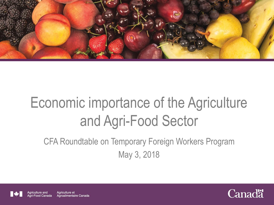

# Economic importance of the Agriculture and Agri-Food Sector

CFA Roundtable on Temporary Foreign Workers Program May 3, 2018





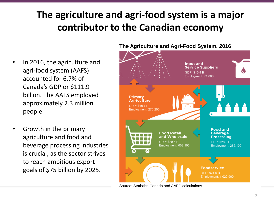## **The agriculture and agri-food system is a major contributor to the Canadian economy**

- In 2016, the agriculture and agri-food system (AAFS) accounted for 6.7% of Canada's GDP or \$111.9 billion. The AAFS employed approximately 2.3 million people.
- Growth in the primary agriculture and food and beverage processing industries is crucial, as the sector strives to reach ambitious export goals of \$75 billion by 2025.



Source: Statistics Canada and AAFC calculations.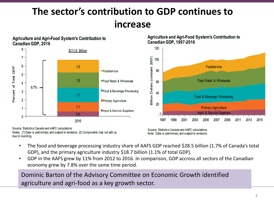### **The sector's contribution to GDP continues to increase**



Source: Statistics Canada and AAFC calculations. Notes: (1) Data is preliminary and subject to revisions. (2) Components may not add up due to rounding.

Source: Statistics Canada and AAFC calculations. Note: Data is preliminary and subject to revisions.

- The food and beverage processing industry share of AAFS GDP reached \$28.5 billion (1.7% of Canada's total GDP), and the primary agriculture industry \$18.7 billion (1.1% of total GDP).
- GDP in the AAFS grew by 11% from 2012 to 2016. In comparison, GDP accross all sectors of the Canadian economy grew by 7.8% over the same time period.

Dominic Barton of the Advisory Committee on Economic Growth identified agriculture and agri-food as a key growth sector.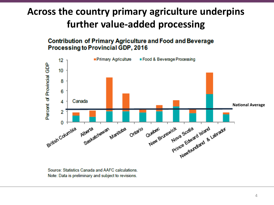### **Across the country primary agriculture underpins further value-added processing**

#### **Contribution of Primary Agriculture and Food and Beverage** Processing to Provincial GDP, 2016



Source: Statistics Canada and AAFC calculations. Note: Data is preliminary and subject to revisions.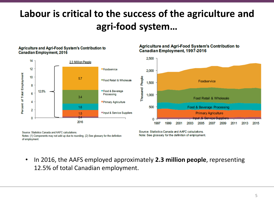### **Labour is critical to the success of the agriculture and agri-food system…**

#### **Agriculture and Agri-Food System's Contribution to Canadian Employment, 2016**



Source: Statistics Canada and AAFC calculations Notes: (1) Components may not add up due to rounding. (2) See glossary for the definition of employment.

**Agriculture and Agri-Food System's Contribution to** Canadian Employment, 1997-2016



Source: Statistics Canada and AAFC calculations. Note: See glossary for the definition of employment.

• In 2016, the AAFS employed approximately **2.3 million people**, representing 12.5% of total Canadian employment.